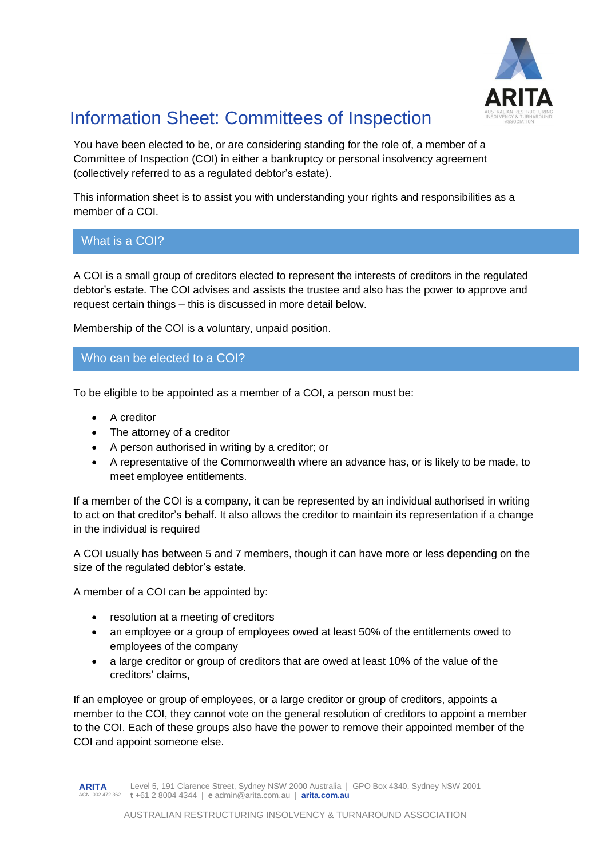

# Information Sheet: Committees of Inspection

You have been elected to be, or are considering standing for the role of, a member of a Committee of Inspection (COI) in either a bankruptcy or personal insolvency agreement (collectively referred to as a regulated debtor's estate).

This information sheet is to assist you with understanding your rights and responsibilities as a member of a COI.

**What is a COI?** What is a COI?

A COI is a small group of creditors elected to represent the interests of creditors in the regulated debtor's estate. The COI advises and assists the trustee and also has the power to approve and request certain things – this is discussed in more detail below.

Membership of the COI is a voluntary, unpaid position.

## Who can be elected to a COI?

To be eligible to be appointed as a member of a COI, a person must be:

- A creditor
- The attorney of a creditor
- A person authorised in writing by a creditor; or
- A representative of the Commonwealth where an advance has, or is likely to be made, to meet employee entitlements.

If a member of the COI is a company, it can be represented by an individual authorised in writing to act on that creditor's behalf. It also allows the creditor to maintain its representation if a change in the individual is required

A COI usually has between 5 and 7 members, though it can have more or less depending on the size of the regulated debtor's estate.

A member of a COI can be appointed by:

- resolution at a meeting of creditors
- an employee or a group of employees owed at least 50% of the entitlements owed to employees of the company
- a large creditor or group of creditors that are owed at least 10% of the value of the creditors' claims,

If an employee or group of employees, or a large creditor or group of creditors, appoints a member to the COI, they cannot vote on the general resolution of creditors to appoint a member to the COI. Each of these groups also have the power to remove their appointed member of the COI and appoint someone else.

**ARITA** ACN 002 472 362 **t** +61 2 8004 4344 | **e** admin@arita.com.au | **arita.com.au** Level 5, 191 Clarence Street, Sydney NSW 2000 Australia | GPO Box 4340, Sydney NSW 2001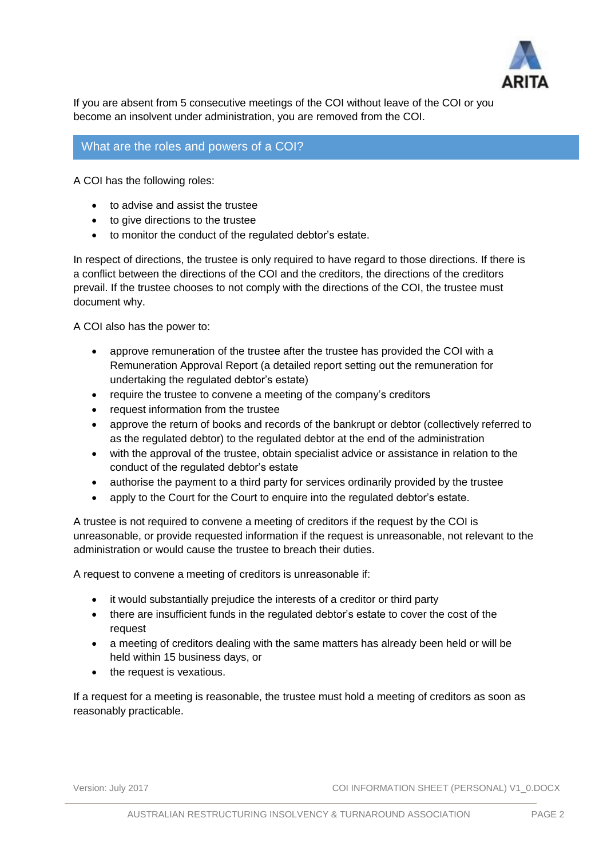

If you are absent from 5 consecutive meetings of the COI without leave of the COI or you become an insolvent under administration, you are removed from the COI.

### What are the roles and powers of a COI?

A COI has the following roles:

- to advise and assist the trustee
- to give directions to the trustee
- to monitor the conduct of the regulated debtor's estate.

In respect of directions, the trustee is only required to have regard to those directions. If there is a conflict between the directions of the COI and the creditors, the directions of the creditors prevail. If the trustee chooses to not comply with the directions of the COI, the trustee must document why.

A COI also has the power to:

- approve remuneration of the trustee after the trustee has provided the COI with a Remuneration Approval Report (a detailed report setting out the remuneration for undertaking the regulated debtor's estate)
- require the trustee to convene a meeting of the company's creditors
- request information from the trustee
- approve the return of books and records of the bankrupt or debtor (collectively referred to as the regulated debtor) to the regulated debtor at the end of the administration
- with the approval of the trustee, obtain specialist advice or assistance in relation to the conduct of the regulated debtor's estate
- authorise the payment to a third party for services ordinarily provided by the trustee
- apply to the Court for the Court to enquire into the regulated debtor's estate.

A trustee is not required to convene a meeting of creditors if the request by the COI is unreasonable, or provide requested information if the request is unreasonable, not relevant to the administration or would cause the trustee to breach their duties.

A request to convene a meeting of creditors is unreasonable if:

- it would substantially prejudice the interests of a creditor or third party
- there are insufficient funds in the regulated debtor's estate to cover the cost of the request
- a meeting of creditors dealing with the same matters has already been held or will be held within 15 business days, or
- the request is vexatious.

If a request for a meeting is reasonable, the trustee must hold a meeting of creditors as soon as reasonably practicable.

Version: July 2017 COI INFORMATION SHEET (PERSONAL) V1\_0.DOCX